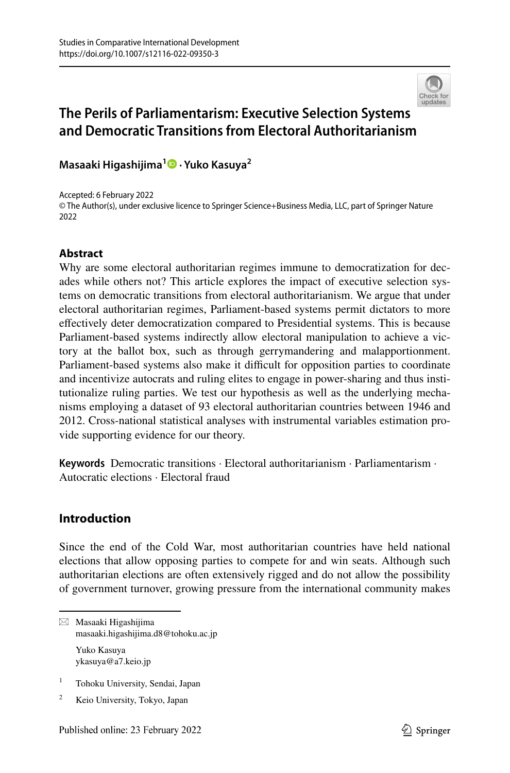

# **The Perils of Parliamentarism: Executive Selection Systems and Democratic Transitions from Electoral Authoritarianism**

**Masaaki Higashijima1  [·](http://orcid.org/0000-0002-8002-7128) Yuko Kasuya2**

Accepted: 6 February 2022 © The Author(s), under exclusive licence to Springer Science+Business Media, LLC, part of Springer Nature วกวว

# **Abstract**

Why are some electoral authoritarian regimes immune to democratization for decades while others not? This article explores the impact of executive selection systems on democratic transitions from electoral authoritarianism. We argue that under electoral authoritarian regimes, Parliament-based systems permit dictators to more efectively deter democratization compared to Presidential systems. This is because Parliament-based systems indirectly allow electoral manipulation to achieve a victory at the ballot box, such as through gerrymandering and malapportionment. Parliament-based systems also make it difficult for opposition parties to coordinate and incentivize autocrats and ruling elites to engage in power-sharing and thus institutionalize ruling parties. We test our hypothesis as well as the underlying mechanisms employing a dataset of 93 electoral authoritarian countries between 1946 and 2012. Cross-national statistical analyses with instrumental variables estimation provide supporting evidence for our theory.

**Keywords** Democratic transitions · Electoral authoritarianism · Parliamentarism · Autocratic elections · Electoral fraud

# **Introduction**

Since the end of the Cold War, most authoritarian countries have held national elections that allow opposing parties to compete for and win seats. Although such authoritarian elections are often extensively rigged and do not allow the possibility of government turnover, growing pressure from the international community makes

- <sup>1</sup> Tohoku University, Sendai, Japan
- <sup>2</sup> Keio University, Tokyo, Japan

 $\boxtimes$  Masaaki Higashijima masaaki.higashijima.d8@tohoku.ac.jp Yuko Kasuya ykasuya@a7.keio.jp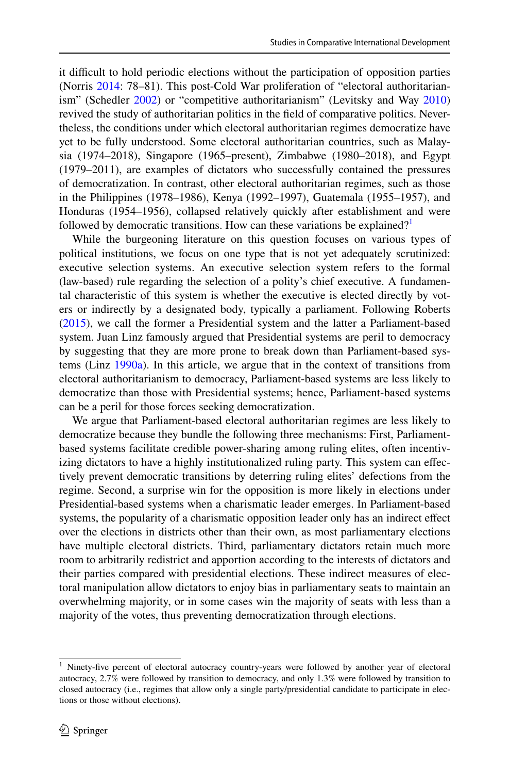it difcult to hold periodic elections without the participation of opposition parties (Norris [2014](#page-21-0): 78–81). This post-Cold War proliferation of "electoral authoritarian-ism" (Schedler [2002](#page-21-1)) or "competitive authoritarianism" (Levitsky and Way [2010](#page-20-0)) revived the study of authoritarian politics in the feld of comparative politics. Nevertheless, the conditions under which electoral authoritarian regimes democratize have yet to be fully understood. Some electoral authoritarian countries, such as Malaysia (1974–2018), Singapore (1965–present), Zimbabwe (1980–2018), and Egypt (1979–2011), are examples of dictators who successfully contained the pressures of democratization. In contrast, other electoral authoritarian regimes, such as those in the Philippines (1978–1986), Kenya (1992–1997), Guatemala (1955–1957), and Honduras (1954–1956), collapsed relatively quickly after establishment and were followed by democratic transitions. How can these variations be explained?<sup>1</sup>

While the burgeoning literature on this question focuses on various types of political institutions, we focus on one type that is not yet adequately scrutinized: executive selection systems. An executive selection system refers to the formal (law-based) rule regarding the selection of a polity's chief executive. A fundamental characteristic of this system is whether the executive is elected directly by voters or indirectly by a designated body, typically a parliament. Following Roberts [\(2015](#page-21-2)), we call the former a Presidential system and the latter a Parliament-based system. Juan Linz famously argued that Presidential systems are peril to democracy by suggesting that they are more prone to break down than Parliament-based systems (Linz [1990a\)](#page-21-3). In this article, we argue that in the context of transitions from electoral authoritarianism to democracy, Parliament-based systems are less likely to democratize than those with Presidential systems; hence, Parliament-based systems can be a peril for those forces seeking democratization.

We argue that Parliament-based electoral authoritarian regimes are less likely to democratize because they bundle the following three mechanisms: First, Parliamentbased systems facilitate credible power-sharing among ruling elites, often incentivizing dictators to have a highly institutionalized ruling party. This system can efectively prevent democratic transitions by deterring ruling elites' defections from the regime. Second, a surprise win for the opposition is more likely in elections under Presidential-based systems when a charismatic leader emerges. In Parliament-based systems, the popularity of a charismatic opposition leader only has an indirect efect over the elections in districts other than their own, as most parliamentary elections have multiple electoral districts. Third, parliamentary dictators retain much more room to arbitrarily redistrict and apportion according to the interests of dictators and their parties compared with presidential elections. These indirect measures of electoral manipulation allow dictators to enjoy bias in parliamentary seats to maintain an overwhelming majority, or in some cases win the majority of seats with less than a majority of the votes, thus preventing democratization through elections.

<span id="page-1-0"></span><sup>&</sup>lt;sup>1</sup> Ninety-five percent of electoral autocracy country-years were followed by another year of electoral autocracy, 2.7% were followed by transition to democracy, and only 1.3% were followed by transition to closed autocracy (i.e., regimes that allow only a single party/presidential candidate to participate in elections or those without elections).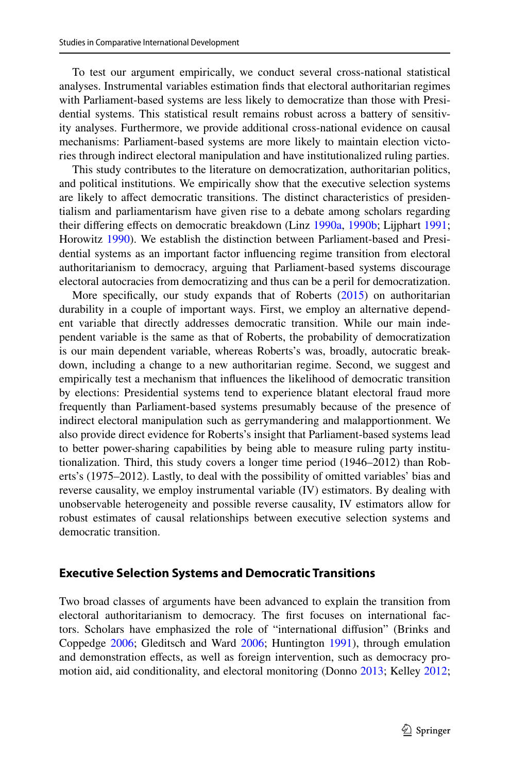To test our argument empirically, we conduct several cross-national statistical analyses. Instrumental variables estimation fnds that electoral authoritarian regimes with Parliament-based systems are less likely to democratize than those with Presidential systems. This statistical result remains robust across a battery of sensitivity analyses. Furthermore, we provide additional cross-national evidence on causal mechanisms: Parliament-based systems are more likely to maintain election victories through indirect electoral manipulation and have institutionalized ruling parties.

This study contributes to the literature on democratization, authoritarian politics, and political institutions. We empirically show that the executive selection systems are likely to afect democratic transitions. The distinct characteristics of presidentialism and parliamentarism have given rise to a debate among scholars regarding their difering efects on democratic breakdown (Linz [1990a,](#page-21-3) [1990b;](#page-21-4) Lijphart [1991;](#page-21-5) Horowitz [1990\)](#page-20-1). We establish the distinction between Parliament-based and Presidential systems as an important factor infuencing regime transition from electoral authoritarianism to democracy, arguing that Parliament-based systems discourage electoral autocracies from democratizing and thus can be a peril for democratization.

More specifcally, our study expands that of Roberts [\(2015](#page-21-2)) on authoritarian durability in a couple of important ways. First, we employ an alternative dependent variable that directly addresses democratic transition. While our main independent variable is the same as that of Roberts, the probability of democratization is our main dependent variable, whereas Roberts's was, broadly, autocratic breakdown, including a change to a new authoritarian regime. Second, we suggest and empirically test a mechanism that infuences the likelihood of democratic transition by elections: Presidential systems tend to experience blatant electoral fraud more frequently than Parliament-based systems presumably because of the presence of indirect electoral manipulation such as gerrymandering and malapportionment. We also provide direct evidence for Roberts's insight that Parliament-based systems lead to better power-sharing capabilities by being able to measure ruling party institutionalization. Third, this study covers a longer time period (1946–2012) than Roberts's (1975–2012). Lastly, to deal with the possibility of omitted variables' bias and reverse causality, we employ instrumental variable (IV) estimators. By dealing with unobservable heterogeneity and possible reverse causality, IV estimators allow for robust estimates of causal relationships between executive selection systems and democratic transition.

#### **Executive Selection Systems and Democratic Transitions**

Two broad classes of arguments have been advanced to explain the transition from electoral authoritarianism to democracy. The frst focuses on international factors. Scholars have emphasized the role of "international difusion" (Brinks and Coppedge [2006](#page-20-2); Gleditsch and Ward [2006;](#page-20-3) Huntington [1991\)](#page-20-4), through emulation and demonstration efects, as well as foreign intervention, such as democracy promotion aid, aid conditionality, and electoral monitoring (Donno [2013;](#page-20-5) Kelley [2012;](#page-20-6)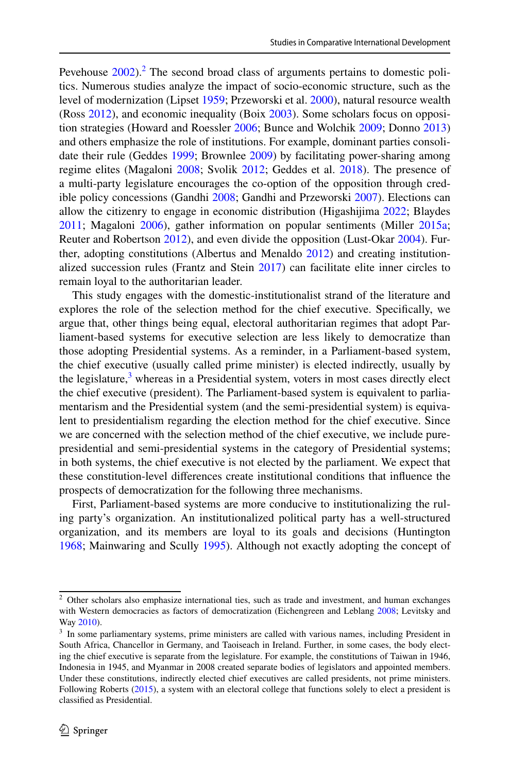Pevehouse  $2002$ ).<sup>2</sup> The second broad class of arguments pertains to domestic politics. Numerous studies analyze the impact of socio-economic structure, such as the level of modernization (Lipset [1959;](#page-21-7) Przeworski et al. [2000](#page-21-8)), natural resource wealth (Ross [2012](#page-21-9)), and economic inequality (Boix [2003\)](#page-20-7). Some scholars focus on opposition strategies (Howard and Roessler [2006;](#page-20-8) Bunce and Wolchik [2009](#page-20-9); Donno [2013](#page-20-5)) and others emphasize the role of institutions. For example, dominant parties consolidate their rule (Geddes [1999;](#page-20-10) Brownlee [2009](#page-20-11)) by facilitating power-sharing among regime elites (Magaloni [2008](#page-21-10); Svolik [2012](#page-22-0); Geddes et al. [2018\)](#page-20-12). The presence of a multi-party legislature encourages the co-option of the opposition through credible policy concessions (Gandhi [2008;](#page-20-13) Gandhi and Przeworski [2007\)](#page-20-14). Elections can allow the citizenry to engage in economic distribution (Higashijima [2022](#page-20-15); Blaydes [2011](#page-20-16); Magaloni [2006\)](#page-21-11), gather information on popular sentiments (Miller [2015a;](#page-21-12) Reuter and Robertson [2012](#page-21-13)), and even divide the opposition (Lust-Okar [2004\)](#page-21-14). Further, adopting constitutions (Albertus and Menaldo [2012](#page-19-0)) and creating institutionalized succession rules (Frantz and Stein [2017\)](#page-20-17) can facilitate elite inner circles to remain loyal to the authoritarian leader.

This study engages with the domestic-institutionalist strand of the literature and explores the role of the selection method for the chief executive. Specifcally, we argue that, other things being equal, electoral authoritarian regimes that adopt Parliament-based systems for executive selection are less likely to democratize than those adopting Presidential systems. As a reminder, in a Parliament-based system, the chief executive (usually called prime minister) is elected indirectly, usually by the legislature, $3$  whereas in a Presidential system, voters in most cases directly elect the chief executive (president). The Parliament-based system is equivalent to parliamentarism and the Presidential system (and the semi-presidential system) is equivalent to presidentialism regarding the election method for the chief executive. Since we are concerned with the selection method of the chief executive, we include purepresidential and semi-presidential systems in the category of Presidential systems; in both systems, the chief executive is not elected by the parliament. We expect that these constitution-level diferences create institutional conditions that infuence the prospects of democratization for the following three mechanisms.

First, Parliament-based systems are more conducive to institutionalizing the ruling party's organization. An institutionalized political party has a well-structured organization, and its members are loyal to its goals and decisions (Huntington [1968](#page-20-18); Mainwaring and Scully [1995\)](#page-21-15). Although not exactly adopting the concept of

<span id="page-3-0"></span><sup>&</sup>lt;sup>2</sup> Other scholars also emphasize international ties, such as trade and investment, and human exchanges with Western democracies as factors of democratization (Eichengreen and Leblang [2008](#page-20-19); Levitsky and Way [2010](#page-20-0)).

<span id="page-3-1"></span><sup>&</sup>lt;sup>3</sup> In some parliamentary systems, prime ministers are called with various names, including President in South Africa, Chancellor in Germany, and Taoiseach in Ireland. Further, in some cases, the body electing the chief executive is separate from the legislature. For example, the constitutions of Taiwan in 1946, Indonesia in 1945, and Myanmar in 2008 created separate bodies of legislators and appointed members. Under these constitutions, indirectly elected chief executives are called presidents, not prime ministers. Following Roberts [\(2015](#page-21-2)), a system with an electoral college that functions solely to elect a president is classifed as Presidential.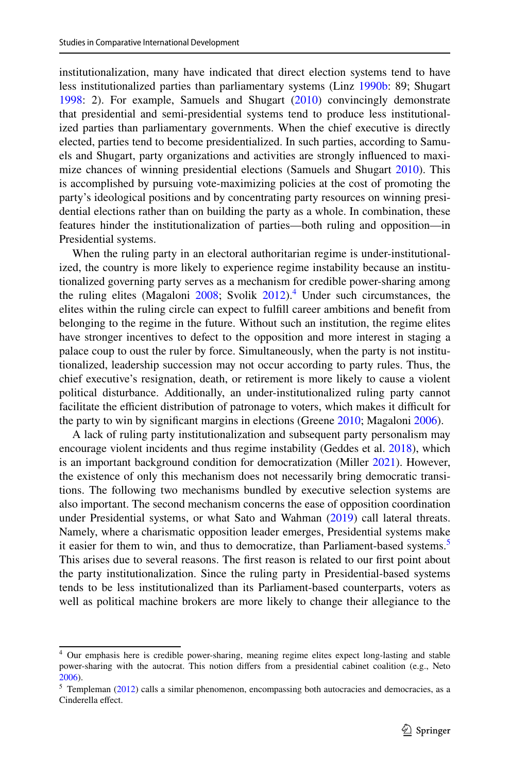institutionalization, many have indicated that direct election systems tend to have less institutionalized parties than parliamentary systems (Linz [1990b](#page-21-4): 89; Shugart [1998](#page-21-16): 2). For example, Samuels and Shugart [\(2010](#page-21-17)) convincingly demonstrate that presidential and semi-presidential systems tend to produce less institutionalized parties than parliamentary governments. When the chief executive is directly elected, parties tend to become presidentialized. In such parties, according to Samuels and Shugart, party organizations and activities are strongly infuenced to maxi-mize chances of winning presidential elections (Samuels and Shugart [2010](#page-21-17)). This is accomplished by pursuing vote-maximizing policies at the cost of promoting the party's ideological positions and by concentrating party resources on winning presidential elections rather than on building the party as a whole. In combination, these features hinder the institutionalization of parties—both ruling and opposition—in Presidential systems.

When the ruling party in an electoral authoritarian regime is under-institutionalized, the country is more likely to experience regime instability because an institutionalized governing party serves as a mechanism for credible power-sharing among the ruling elites (Magaloni [2008](#page-21-10); Svolik [2012](#page-22-0)).<sup>4</sup> Under such circumstances, the elites within the ruling circle can expect to fulfll career ambitions and beneft from belonging to the regime in the future. Without such an institution, the regime elites have stronger incentives to defect to the opposition and more interest in staging a palace coup to oust the ruler by force. Simultaneously, when the party is not institutionalized, leadership succession may not occur according to party rules. Thus, the chief executive's resignation, death, or retirement is more likely to cause a violent political disturbance. Additionally, an under-institutionalized ruling party cannot facilitate the efficient distribution of patronage to voters, which makes it difficult for the party to win by signifcant margins in elections (Greene [2010;](#page-20-20) Magaloni [2006\)](#page-21-11).

A lack of ruling party institutionalization and subsequent party personalism may encourage violent incidents and thus regime instability (Geddes et al. [2018](#page-20-12)), which is an important background condition for democratization (Miller [2021](#page-21-18)). However, the existence of only this mechanism does not necessarily bring democratic transitions. The following two mechanisms bundled by executive selection systems are also important. The second mechanism concerns the ease of opposition coordination under Presidential systems, or what Sato and Wahman ([2019\)](#page-21-19) call lateral threats. Namely, where a charismatic opposition leader emerges, Presidential systems make it easier for them to win, and thus to democratize, than Parliament-based systems.<sup>[5](#page-4-1)</sup> This arises due to several reasons. The frst reason is related to our frst point about the party institutionalization. Since the ruling party in Presidential-based systems tends to be less institutionalized than its Parliament-based counterparts, voters as well as political machine brokers are more likely to change their allegiance to the

<span id="page-4-0"></span><sup>4</sup> Our emphasis here is credible power-sharing, meaning regime elites expect long-lasting and stable power-sharing with the autocrat. This notion difers from a presidential cabinet coalition (e.g., Neto [2006](#page-21-20)).

<span id="page-4-1"></span> $5$  Templeman ([2012\)](#page-22-1) calls a similar phenomenon, encompassing both autocracies and democracies, as a Cinderella effect.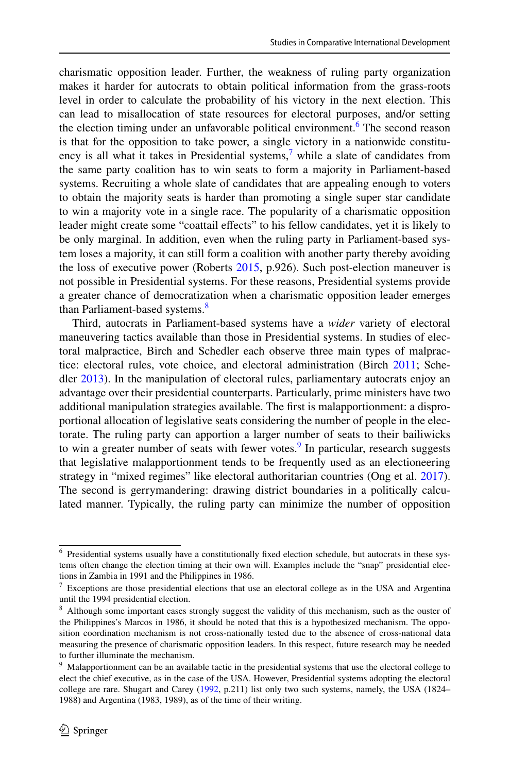charismatic opposition leader. Further, the weakness of ruling party organization makes it harder for autocrats to obtain political information from the grass-roots level in order to calculate the probability of his victory in the next election. This can lead to misallocation of state resources for electoral purposes, and/or setting the election timing under an unfavorable political environment.<sup>[6](#page-5-0)</sup> The second reason is that for the opposition to take power, a single victory in a nationwide constituency is all what it takes in Presidential systems, $\theta$  while a slate of candidates from the same party coalition has to win seats to form a majority in Parliament-based systems. Recruiting a whole slate of candidates that are appealing enough to voters to obtain the majority seats is harder than promoting a single super star candidate to win a majority vote in a single race. The popularity of a charismatic opposition leader might create some "coattail efects" to his fellow candidates, yet it is likely to be only marginal. In addition, even when the ruling party in Parliament-based system loses a majority, it can still form a coalition with another party thereby avoiding the loss of executive power (Roberts [2015,](#page-21-2) p.926). Such post-election maneuver is not possible in Presidential systems. For these reasons, Presidential systems provide a greater chance of democratization when a charismatic opposition leader emerges than Parliament-based systems.<sup>[8](#page-5-2)</sup>

Third, autocrats in Parliament-based systems have a *wider* variety of electoral maneuvering tactics available than those in Presidential systems. In studies of electoral malpractice, Birch and Schedler each observe three main types of malpractice: electoral rules, vote choice, and electoral administration (Birch [2011;](#page-19-1) Schedler [2013\)](#page-21-21). In the manipulation of electoral rules, parliamentary autocrats enjoy an advantage over their presidential counterparts. Particularly, prime ministers have two additional manipulation strategies available. The frst is malapportionment: a disproportional allocation of legislative seats considering the number of people in the electorate. The ruling party can apportion a larger number of seats to their bailiwicks to win a greater number of seats with fewer votes.<sup>[9](#page-5-3)</sup> In particular, research suggests that legislative malapportionment tends to be frequently used as an electioneering strategy in "mixed regimes" like electoral authoritarian countries (Ong et al. [2017\)](#page-21-22). The second is gerrymandering: drawing district boundaries in a politically calculated manner. Typically, the ruling party can minimize the number of opposition

<span id="page-5-0"></span><sup>6</sup> Presidential systems usually have a constitutionally fxed election schedule, but autocrats in these systems often change the election timing at their own will. Examples include the "snap" presidential elections in Zambia in 1991 and the Philippines in 1986.

<span id="page-5-1"></span> $7$  Exceptions are those presidential elections that use an electoral college as in the USA and Argentina until the 1994 presidential election.

<span id="page-5-2"></span><sup>&</sup>lt;sup>8</sup> Although some important cases strongly suggest the validity of this mechanism, such as the ouster of the Philippines's Marcos in 1986, it should be noted that this is a hypothesized mechanism. The opposition coordination mechanism is not cross-nationally tested due to the absence of cross-national data measuring the presence of charismatic opposition leaders. In this respect, future research may be needed to further illuminate the mechanism.

<span id="page-5-3"></span><sup>&</sup>lt;sup>9</sup> Malapportionment can be an available tactic in the presidential systems that use the electoral college to elect the chief executive, as in the case of the USA. However, Presidential systems adopting the electoral college are rare. Shugart and Carey [\(1992](#page-21-23), p.211) list only two such systems, namely, the USA (1824– 1988) and Argentina (1983, 1989), as of the time of their writing.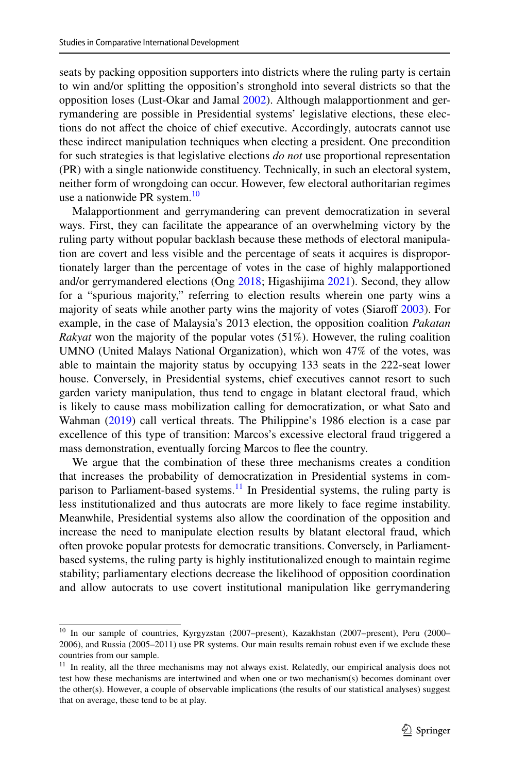seats by packing opposition supporters into districts where the ruling party is certain to win and/or splitting the opposition's stronghold into several districts so that the opposition loses (Lust-Okar and Jamal [2002\)](#page-21-24). Although malapportionment and gerrymandering are possible in Presidential systems' legislative elections, these elections do not affect the choice of chief executive. Accordingly, autocrats cannot use these indirect manipulation techniques when electing a president. One precondition for such strategies is that legislative elections *do not* use proportional representation (PR) with a single nationwide constituency. Technically, in such an electoral system, neither form of wrongdoing can occur. However, few electoral authoritarian regimes use a nationwide PR system.<sup>10</sup>

Malapportionment and gerrymandering can prevent democratization in several ways. First, they can facilitate the appearance of an overwhelming victory by the ruling party without popular backlash because these methods of electoral manipulation are covert and less visible and the percentage of seats it acquires is disproportionately larger than the percentage of votes in the case of highly malapportioned and/or gerrymandered elections (Ong [2018](#page-21-25); Higashijima [2021\)](#page-20-21). Second, they allow for a "spurious majority," referring to election results wherein one party wins a majority of seats while another party wins the majority of votes (Siaroff [2003\)](#page-21-26). For example, in the case of Malaysia's 2013 election, the opposition coalition *Pakatan Rakyat* won the majority of the popular votes (51%). However, the ruling coalition UMNO (United Malays National Organization), which won 47% of the votes, was able to maintain the majority status by occupying 133 seats in the 222-seat lower house. Conversely, in Presidential systems, chief executives cannot resort to such garden variety manipulation, thus tend to engage in blatant electoral fraud, which is likely to cause mass mobilization calling for democratization, or what Sato and Wahman ([2019\)](#page-21-19) call vertical threats. The Philippine's 1986 election is a case par excellence of this type of transition: Marcos's excessive electoral fraud triggered a mass demonstration, eventually forcing Marcos to fee the country.

We argue that the combination of these three mechanisms creates a condition that increases the probability of democratization in Presidential systems in comparison to Parliament-based systems.<sup>11</sup> In Presidential systems, the ruling party is less institutionalized and thus autocrats are more likely to face regime instability. Meanwhile, Presidential systems also allow the coordination of the opposition and increase the need to manipulate election results by blatant electoral fraud, which often provoke popular protests for democratic transitions. Conversely, in Parliamentbased systems, the ruling party is highly institutionalized enough to maintain regime stability; parliamentary elections decrease the likelihood of opposition coordination and allow autocrats to use covert institutional manipulation like gerrymandering

<span id="page-6-0"></span><sup>10</sup> In our sample of countries, Kyrgyzstan (2007–present), Kazakhstan (2007–present), Peru (2000– 2006), and Russia (2005–2011) use PR systems. Our main results remain robust even if we exclude these countries from our sample.

<span id="page-6-1"></span><sup>&</sup>lt;sup>11</sup> In reality, all the three mechanisms may not always exist. Relatedly, our empirical analysis does not test how these mechanisms are intertwined and when one or two mechanism(s) becomes dominant over the other(s). However, a couple of observable implications (the results of our statistical analyses) suggest that on average, these tend to be at play.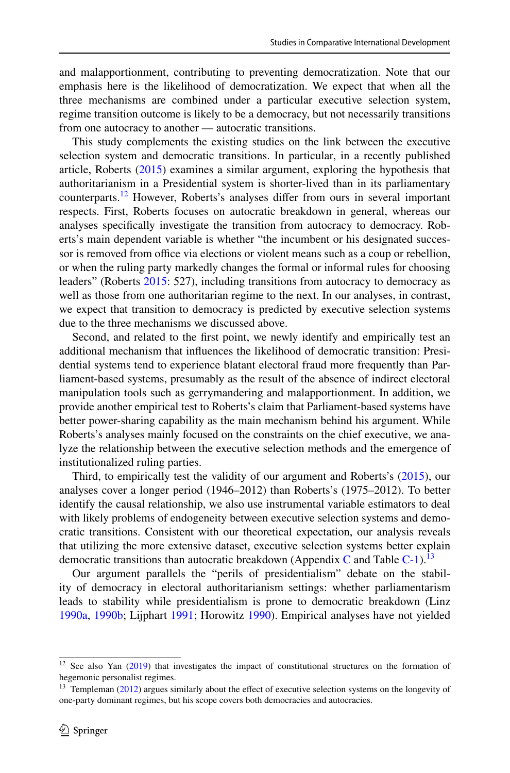and malapportionment, contributing to preventing democratization. Note that our emphasis here is the likelihood of democratization. We expect that when all the three mechanisms are combined under a particular executive selection system, regime transition outcome is likely to be a democracy, but not necessarily transitions from one autocracy to another — autocratic transitions.

This study complements the existing studies on the link between the executive selection system and democratic transitions. In particular, in a recently published article, Roberts ([2015\)](#page-21-2) examines a similar argument, exploring the hypothesis that authoritarianism in a Presidential system is shorter-lived than in its parliamentary counterparts.<sup>[12](#page-7-0)</sup> However, Roberts's analyses differ from ours in several important respects. First, Roberts focuses on autocratic breakdown in general, whereas our analyses specifcally investigate the transition from autocracy to democracy. Roberts's main dependent variable is whether "the incumbent or his designated successor is removed from office via elections or violent means such as a coup or rebellion, or when the ruling party markedly changes the formal or informal rules for choosing leaders" (Roberts [2015](#page-21-2): 527), including transitions from autocracy to democracy as well as those from one authoritarian regime to the next. In our analyses, in contrast, we expect that transition to democracy is predicted by executive selection systems due to the three mechanisms we discussed above.

Second, and related to the frst point, we newly identify and empirically test an additional mechanism that infuences the likelihood of democratic transition: Presidential systems tend to experience blatant electoral fraud more frequently than Parliament-based systems, presumably as the result of the absence of indirect electoral manipulation tools such as gerrymandering and malapportionment. In addition, we provide another empirical test to Roberts's claim that Parliament-based systems have better power-sharing capability as the main mechanism behind his argument. While Roberts's analyses mainly focused on the constraints on the chief executive, we analyze the relationship between the executive selection methods and the emergence of institutionalized ruling parties.

Third, to empirically test the validity of our argument and Roberts's [\(2015](#page-21-2)), our analyses cover a longer period (1946–2012) than Roberts's (1975–2012). To better identify the causal relationship, we also use instrumental variable estimators to deal with likely problems of endogeneity between executive selection systems and democratic transitions. Consistent with our theoretical expectation, our analysis reveals that utilizing the more extensive dataset, executive selection systems better explain democratic transitions than autocratic breakdown (Appendix C and Table  $C-1$ ).<sup>[13](#page-7-1)</sup>

Our argument parallels the "perils of presidentialism" debate on the stability of democracy in electoral authoritarianism settings: whether parliamentarism leads to stability while presidentialism is prone to democratic breakdown (Linz [1990a](#page-21-3), [1990b](#page-21-4); Lijphart [1991](#page-21-5); Horowitz [1990\)](#page-20-1). Empirical analyses have not yielded

<span id="page-7-0"></span><sup>&</sup>lt;sup>12</sup> See also Yan [\(2019](#page-22-2)) that investigates the impact of constitutional structures on the formation of hegemonic personalist regimes.

<span id="page-7-1"></span><sup>&</sup>lt;sup>13</sup> Templeman [\(2012](#page-22-1)) argues similarly about the effect of executive selection systems on the longevity of one-party dominant regimes, but his scope covers both democracies and autocracies.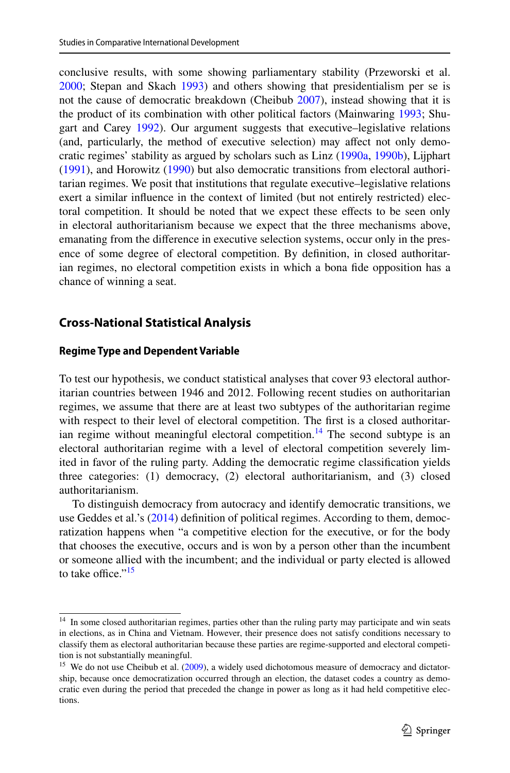conclusive results, with some showing parliamentary stability (Przeworski et al. [2000](#page-21-8); Stepan and Skach [1993\)](#page-22-3) and others showing that presidentialism per se is not the cause of democratic breakdown (Cheibub [2007](#page-20-22)), instead showing that it is the product of its combination with other political factors (Mainwaring [1993](#page-21-27); Shugart and Carey [1992](#page-21-23)). Our argument suggests that executive–legislative relations (and, particularly, the method of executive selection) may afect not only democratic regimes' stability as argued by scholars such as Linz [\(1990a,](#page-21-3) [1990b\)](#page-21-4), Lijphart [\(1991](#page-21-5)), and Horowitz [\(1990](#page-20-1)) but also democratic transitions from electoral authoritarian regimes. We posit that institutions that regulate executive–legislative relations exert a similar infuence in the context of limited (but not entirely restricted) electoral competition. It should be noted that we expect these efects to be seen only in electoral authoritarianism because we expect that the three mechanisms above, emanating from the diference in executive selection systems, occur only in the presence of some degree of electoral competition. By defnition, in closed authoritarian regimes, no electoral competition exists in which a bona fde opposition has a chance of winning a seat.

### **Cross‑National Statistical Analysis**

#### **Regime Type and Dependent Variable**

To test our hypothesis, we conduct statistical analyses that cover 93 electoral authoritarian countries between 1946 and 2012. Following recent studies on authoritarian regimes, we assume that there are at least two subtypes of the authoritarian regime with respect to their level of electoral competition. The frst is a closed authoritarian regime without meaningful electoral competition.<sup>14</sup> The second subtype is an electoral authoritarian regime with a level of electoral competition severely limited in favor of the ruling party. Adding the democratic regime classifcation yields three categories: (1) democracy, (2) electoral authoritarianism, and (3) closed authoritarianism.

To distinguish democracy from autocracy and identify democratic transitions, we use Geddes et al.'s [\(2014](#page-20-23)) defnition of political regimes. According to them, democratization happens when "a competitive election for the executive, or for the body that chooses the executive, occurs and is won by a person other than the incumbent or someone allied with the incumbent; and the individual or party elected is allowed to take office."<sup>[15](#page-8-1)</sup>

<span id="page-8-0"></span><sup>&</sup>lt;sup>14</sup> In some closed authoritarian regimes, parties other than the ruling party may participate and win seats in elections, as in China and Vietnam. However, their presence does not satisfy conditions necessary to classify them as electoral authoritarian because these parties are regime-supported and electoral competition is not substantially meaningful.

<span id="page-8-1"></span><sup>&</sup>lt;sup>15</sup> We do not use Cheibub et al. [\(2009](#page-20-24)), a widely used dichotomous measure of democracy and dictatorship, because once democratization occurred through an election, the dataset codes a country as democratic even during the period that preceded the change in power as long as it had held competitive elections.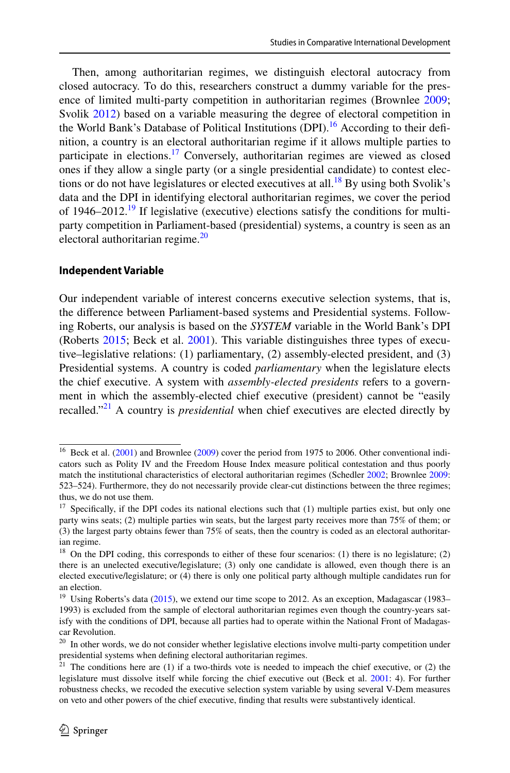Then, among authoritarian regimes, we distinguish electoral autocracy from closed autocracy. To do this, researchers construct a dummy variable for the pres-ence of limited multi-party competition in authoritarian regimes (Brownlee [2009;](#page-20-11) Svolik [2012](#page-22-0)) based on a variable measuring the degree of electoral competition in the World Bank's Database of Political Institutions (DPI).<sup>16</sup> According to their definition, a country is an electoral authoritarian regime if it allows multiple parties to participate in elections.<sup>17</sup> Conversely, authoritarian regimes are viewed as closed ones if they allow a single party (or a single presidential candidate) to contest elections or do not have legislatures or elected executives at all.<sup>18</sup> By using both Svolik's data and the DPI in identifying electoral authoritarian regimes, we cover the period of 1946–2012.[19](#page-9-3) If legislative (executive) elections satisfy the conditions for multiparty competition in Parliament-based (presidential) systems, a country is seen as an electoral authoritarian regime. $^{20}$  $^{20}$  $^{20}$ 

#### **Independent Variable**

Our independent variable of interest concerns executive selection systems, that is, the diference between Parliament-based systems and Presidential systems. Following Roberts, our analysis is based on the *SYSTEM* variable in the World Bank's DPI (Roberts [2015;](#page-21-2) Beck et al. [2001\)](#page-19-2). This variable distinguishes three types of executive–legislative relations: (1) parliamentary, (2) assembly-elected president, and (3) Presidential systems. A country is coded *parliamentary* when the legislature elects the chief executive. A system with *assembly-elected presidents* refers to a government in which the assembly-elected chief executive (president) cannot be "easily recalled.["21](#page-9-5) A country is *presidential* when chief executives are elected directly by

<span id="page-9-0"></span><sup>&</sup>lt;sup>16</sup> Beck et al. ([2001\)](#page-19-2) and Brownlee ([2009\)](#page-20-11) cover the period from 1975 to 2006. Other conventional indicators such as Polity IV and the Freedom House Index measure political contestation and thus poorly match the institutional characteristics of electoral authoritarian regimes (Schedler [2002](#page-21-1); Brownlee [2009](#page-20-11): 523–524). Furthermore, they do not necessarily provide clear-cut distinctions between the three regimes; thus, we do not use them.

<span id="page-9-1"></span><sup>&</sup>lt;sup>17</sup> Specifically, if the DPI codes its national elections such that (1) multiple parties exist, but only one party wins seats; (2) multiple parties win seats, but the largest party receives more than 75% of them; or (3) the largest party obtains fewer than 75% of seats, then the country is coded as an electoral authoritarian regime.

<span id="page-9-2"></span><sup>&</sup>lt;sup>18</sup> On the DPI coding, this corresponds to either of these four scenarios: (1) there is no legislature; (2) there is an unelected executive/legislature; (3) only one candidate is allowed, even though there is an elected executive/legislature; or (4) there is only one political party although multiple candidates run for an election.

<span id="page-9-3"></span><sup>&</sup>lt;sup>19</sup> Using Roberts's data ([2015\)](#page-21-2), we extend our time scope to 2012. As an exception, Madagascar (1983– 1993) is excluded from the sample of electoral authoritarian regimes even though the country-years satisfy with the conditions of DPI, because all parties had to operate within the National Front of Madagascar Revolution.

<span id="page-9-4"></span> $20$  In other words, we do not consider whether legislative elections involve multi-party competition under presidential systems when defning electoral authoritarian regimes.

<span id="page-9-5"></span> $21$  The conditions here are (1) if a two-thirds vote is needed to impeach the chief executive, or (2) the legislature must dissolve itself while forcing the chief executive out (Beck et al. [2001](#page-19-2): 4). For further robustness checks, we recoded the executive selection system variable by using several V-Dem measures on veto and other powers of the chief executive, fnding that results were substantively identical.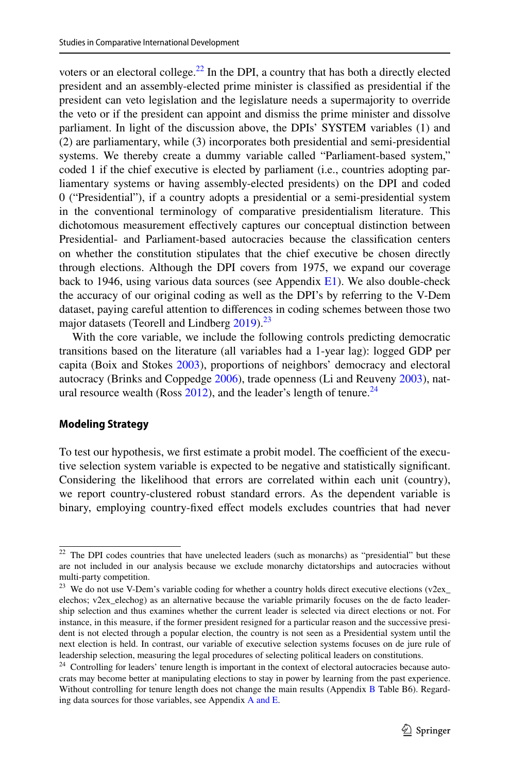voters or an electoral college.<sup>22</sup> In the DPI, a country that has both a directly elected president and an assembly-elected prime minister is classifed as presidential if the president can veto legislation and the legislature needs a supermajority to override the veto or if the president can appoint and dismiss the prime minister and dissolve parliament. In light of the discussion above, the DPIs' SYSTEM variables (1) and (2) are parliamentary, while (3) incorporates both presidential and semi-presidential systems. We thereby create a dummy variable called "Parliament-based system," coded 1 if the chief executive is elected by parliament (i.e., countries adopting parliamentary systems or having assembly-elected presidents) on the DPI and coded 0 ("Presidential"), if a country adopts a presidential or a semi-presidential system in the conventional terminology of comparative presidentialism literature. This dichotomous measurement efectively captures our conceptual distinction between Presidential- and Parliament-based autocracies because the classifcation centers on whether the constitution stipulates that the chief executive be chosen directly through elections. Although the DPI covers from 1975, we expand our coverage back to 1946, using various data sources (see Appendix  $E1$ ). We also double-check the accuracy of our original coding as well as the DPI's by referring to the V-Dem dataset, paying careful attention to diferences in coding schemes between those two major datasets (Teorell and Lindberg  $2019$ ).<sup>[23](#page-10-1)</sup>

With the core variable, we include the following controls predicting democratic transitions based on the literature (all variables had a 1-year lag): logged GDP per capita (Boix and Stokes [2003](#page-20-25)), proportions of neighbors' democracy and electoral autocracy (Brinks and Coppedge [2006](#page-20-2)), trade openness (Li and Reuveny [2003](#page-20-26)), natural resource wealth (Ross  $2012$ ), and the leader's length of tenure.<sup>[24](#page-10-2)</sup>

#### **Modeling Strategy**

To test our hypothesis, we first estimate a probit model. The coefficient of the executive selection system variable is expected to be negative and statistically signifcant. Considering the likelihood that errors are correlated within each unit (country), we report country-clustered robust standard errors. As the dependent variable is binary, employing country-fixed effect models excludes countries that had never

<span id="page-10-0"></span> $22$  The DPI codes countries that have unelected leaders (such as monarchs) as "presidential" but these are not included in our analysis because we exclude monarchy dictatorships and autocracies without multi-party competition.

<span id="page-10-1"></span><sup>&</sup>lt;sup>23</sup> We do not use V-Dem's variable coding for whether a country holds direct executive elections (v2ex\_ elechos; v2ex\_elechog) as an alternative because the variable primarily focuses on the de facto leadership selection and thus examines whether the current leader is selected via direct elections or not. For instance, in this measure, if the former president resigned for a particular reason and the successive president is not elected through a popular election, the country is not seen as a Presidential system until the next election is held. In contrast, our variable of executive selection systems focuses on de jure rule of leadership selection, measuring the legal procedures of selecting political leaders on constitutions.

<span id="page-10-2"></span><sup>&</sup>lt;sup>24</sup> Controlling for leaders' tenure length is important in the context of electoral autocracies because autocrats may become better at manipulating elections to stay in power by learning from the past experience. Without controlling for tenure length does not change the main results (Appendix B Table B6). Regarding data sources for those variables, see Appendix A and E.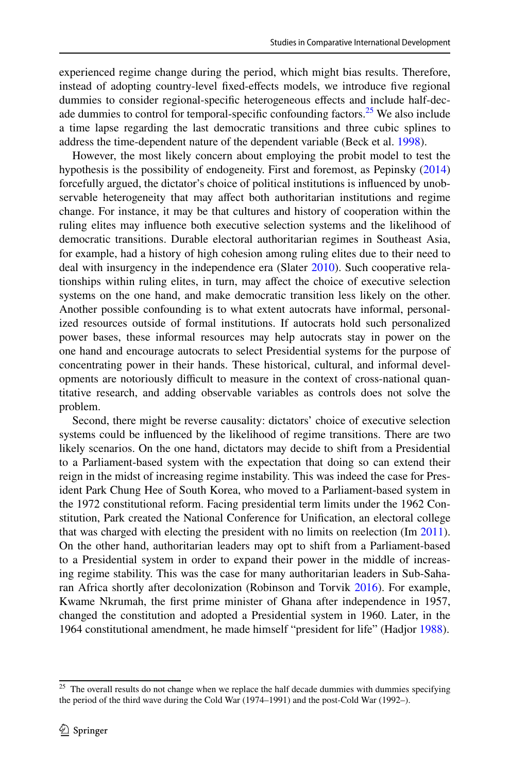experienced regime change during the period, which might bias results. Therefore, instead of adopting country-level fxed-efects models, we introduce fve regional dummies to consider regional-specifc heterogeneous efects and include half-dec-ade dummies to control for temporal-specific confounding factors.<sup>[25](#page-11-0)</sup> We also include a time lapse regarding the last democratic transitions and three cubic splines to address the time-dependent nature of the dependent variable (Beck et al. [1998](#page-19-3)).

However, the most likely concern about employing the probit model to test the hypothesis is the possibility of endogeneity. First and foremost, as Pepinsky [\(2014](#page-21-28)) forcefully argued, the dictator's choice of political institutions is infuenced by unobservable heterogeneity that may affect both authoritarian institutions and regime change. For instance, it may be that cultures and history of cooperation within the ruling elites may infuence both executive selection systems and the likelihood of democratic transitions. Durable electoral authoritarian regimes in Southeast Asia, for example, had a history of high cohesion among ruling elites due to their need to deal with insurgency in the independence era (Slater [2010](#page-21-29)). Such cooperative relationships within ruling elites, in turn, may afect the choice of executive selection systems on the one hand, and make democratic transition less likely on the other. Another possible confounding is to what extent autocrats have informal, personalized resources outside of formal institutions. If autocrats hold such personalized power bases, these informal resources may help autocrats stay in power on the one hand and encourage autocrats to select Presidential systems for the purpose of concentrating power in their hands. These historical, cultural, and informal developments are notoriously difficult to measure in the context of cross-national quantitative research, and adding observable variables as controls does not solve the problem.

Second, there might be reverse causality: dictators' choice of executive selection systems could be infuenced by the likelihood of regime transitions. There are two likely scenarios. On the one hand, dictators may decide to shift from a Presidential to a Parliament-based system with the expectation that doing so can extend their reign in the midst of increasing regime instability. This was indeed the case for President Park Chung Hee of South Korea, who moved to a Parliament-based system in the 1972 constitutional reform. Facing presidential term limits under the 1962 Constitution, Park created the National Conference for Unifcation, an electoral college that was charged with electing the president with no limits on reelection (Im [2011\)](#page-20-27). On the other hand, authoritarian leaders may opt to shift from a Parliament-based to a Presidential system in order to expand their power in the middle of increasing regime stability. This was the case for many authoritarian leaders in Sub-Saha-ran Africa shortly after decolonization (Robinson and Torvik [2016\)](#page-21-30). For example, Kwame Nkrumah, the frst prime minister of Ghana after independence in 1957, changed the constitution and adopted a Presidential system in 1960. Later, in the 1964 constitutional amendment, he made himself "president for life" (Hadjor [1988\)](#page-20-28).

<span id="page-11-0"></span> $25$  The overall results do not change when we replace the half decade dummies with dummies specifying the period of the third wave during the Cold War (1974–1991) and the post-Cold War (1992–).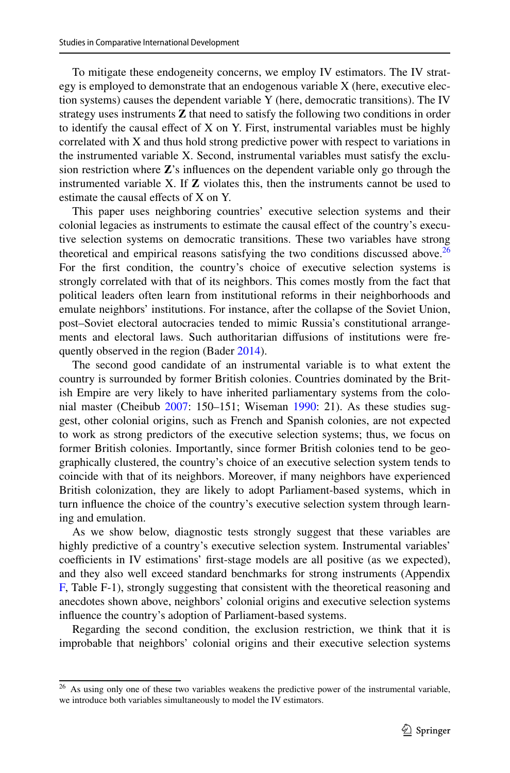To mitigate these endogeneity concerns, we employ IV estimators. The IV strategy is employed to demonstrate that an endogenous variable X (here, executive election systems) causes the dependent variable Y (here, democratic transitions). The IV strategy uses instruments **Z** that need to satisfy the following two conditions in order to identify the causal effect of  $X$  on  $Y$ . First, instrumental variables must be highly correlated with X and thus hold strong predictive power with respect to variations in the instrumented variable X. Second, instrumental variables must satisfy the exclusion restriction where **Z**'s infuences on the dependent variable only go through the instrumented variable X. If **Z** violates this, then the instruments cannot be used to estimate the causal efects of X on Y.

This paper uses neighboring countries' executive selection systems and their colonial legacies as instruments to estimate the causal efect of the country's executive selection systems on democratic transitions. These two variables have strong theoretical and empirical reasons satisfying the two conditions discussed above.<sup>[26](#page-12-0)</sup> For the frst condition, the country's choice of executive selection systems is strongly correlated with that of its neighbors. This comes mostly from the fact that political leaders often learn from institutional reforms in their neighborhoods and emulate neighbors' institutions. For instance, after the collapse of the Soviet Union, post–Soviet electoral autocracies tended to mimic Russia's constitutional arrangements and electoral laws. Such authoritarian difusions of institutions were frequently observed in the region (Bader [2014\)](#page-19-4).

The second good candidate of an instrumental variable is to what extent the country is surrounded by former British colonies. Countries dominated by the British Empire are very likely to have inherited parliamentary systems from the colonial master (Cheibub [2007](#page-20-22): 150–151; Wiseman [1990:](#page-22-5) 21). As these studies suggest, other colonial origins, such as French and Spanish colonies, are not expected to work as strong predictors of the executive selection systems; thus, we focus on former British colonies. Importantly, since former British colonies tend to be geographically clustered, the country's choice of an executive selection system tends to coincide with that of its neighbors. Moreover, if many neighbors have experienced British colonization, they are likely to adopt Parliament-based systems, which in turn infuence the choice of the country's executive selection system through learning and emulation.

As we show below, diagnostic tests strongly suggest that these variables are highly predictive of a country's executive selection system. Instrumental variables' coefficients in IV estimations' first-stage models are all positive (as we expected), and they also well exceed standard benchmarks for strong instruments (Appendix F, Table F-1), strongly suggesting that consistent with the theoretical reasoning and anecdotes shown above, neighbors' colonial origins and executive selection systems infuence the country's adoption of Parliament-based systems.

Regarding the second condition, the exclusion restriction, we think that it is improbable that neighbors' colonial origins and their executive selection systems

<span id="page-12-0"></span><sup>&</sup>lt;sup>26</sup> As using only one of these two variables weakens the predictive power of the instrumental variable, we introduce both variables simultaneously to model the IV estimators.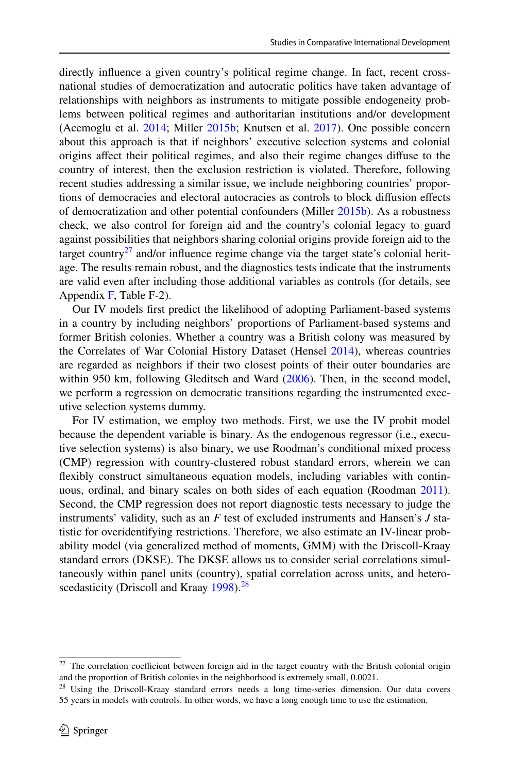directly infuence a given country's political regime change. In fact, recent crossnational studies of democratization and autocratic politics have taken advantage of relationships with neighbors as instruments to mitigate possible endogeneity problems between political regimes and authoritarian institutions and/or development (Acemoglu et al. [2014](#page-19-5); Miller [2015b](#page-21-31); Knutsen et al. [2017\)](#page-20-29). One possible concern about this approach is that if neighbors' executive selection systems and colonial origins afect their political regimes, and also their regime changes difuse to the country of interest, then the exclusion restriction is violated. Therefore, following recent studies addressing a similar issue, we include neighboring countries' proportions of democracies and electoral autocracies as controls to block difusion efects of democratization and other potential confounders (Miller [2015b](#page-21-31)). As a robustness check, we also control for foreign aid and the country's colonial legacy to guard against possibilities that neighbors sharing colonial origins provide foreign aid to the target country<sup>27</sup> and/or influence regime change via the target state's colonial heritage. The results remain robust, and the diagnostics tests indicate that the instruments are valid even after including those additional variables as controls (for details, see Appendix  $\overline{F}$ , Table F-2).

Our IV models frst predict the likelihood of adopting Parliament-based systems in a country by including neighbors' proportions of Parliament-based systems and former British colonies. Whether a country was a British colony was measured by the Correlates of War Colonial History Dataset (Hensel [2014](#page-20-30)), whereas countries are regarded as neighbors if their two closest points of their outer boundaries are within 950 km, following Gleditsch and Ward ([2006\)](#page-20-3). Then, in the second model, we perform a regression on democratic transitions regarding the instrumented executive selection systems dummy.

For IV estimation, we employ two methods. First, we use the IV probit model because the dependent variable is binary. As the endogenous regressor (i.e., executive selection systems) is also binary, we use Roodman's conditional mixed process (CMP) regression with country-clustered robust standard errors, wherein we can fexibly construct simultaneous equation models, including variables with continuous, ordinal, and binary scales on both sides of each equation (Roodman [2011\)](#page-21-32). Second, the CMP regression does not report diagnostic tests necessary to judge the instruments' validity, such as an *F* test of excluded instruments and Hansen's *J* statistic for overidentifying restrictions. Therefore, we also estimate an IV-linear probability model (via generalized method of moments, GMM) with the Driscoll-Kraay standard errors (DKSE). The DKSE allows us to consider serial correlations simultaneously within panel units (country), spatial correlation across units, and hetero-scedasticity (Driscoll and Kraay [1998\)](#page-20-31).<sup>[28](#page-13-1)</sup>

<span id="page-13-0"></span> $27$  The correlation coefficient between foreign aid in the target country with the British colonial origin and the proportion of British colonies in the neighborhood is extremely small, 0.0021.

<span id="page-13-1"></span> $28$  Using the Driscoll-Kraay standard errors needs a long time-series dimension. Our data covers 55 years in models with controls. In other words, we have a long enough time to use the estimation.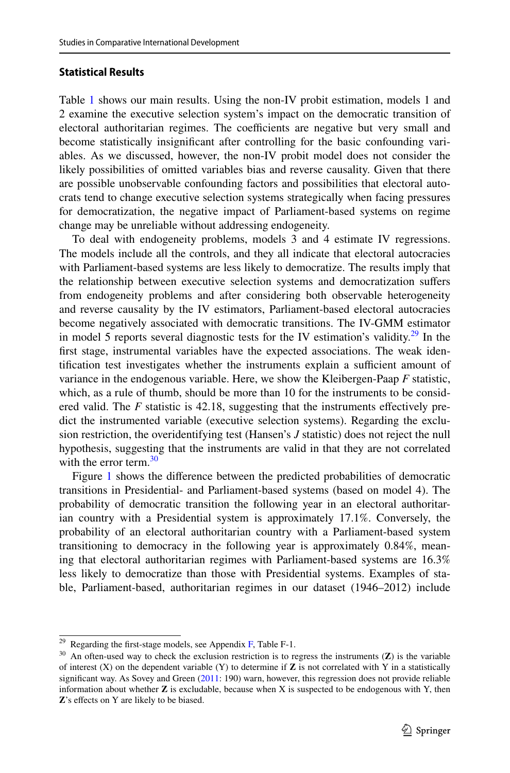#### **Statistical Results**

Table [1](#page-15-0) shows our main results. Using the non-IV probit estimation, models 1 and 2 examine the executive selection system's impact on the democratic transition of electoral authoritarian regimes. The coefficients are negative but very small and become statistically insignifcant after controlling for the basic confounding variables. As we discussed, however, the non-IV probit model does not consider the likely possibilities of omitted variables bias and reverse causality. Given that there are possible unobservable confounding factors and possibilities that electoral autocrats tend to change executive selection systems strategically when facing pressures for democratization, the negative impact of Parliament-based systems on regime change may be unreliable without addressing endogeneity.

To deal with endogeneity problems, models 3 and 4 estimate IV regressions. The models include all the controls, and they all indicate that electoral autocracies with Parliament-based systems are less likely to democratize. The results imply that the relationship between executive selection systems and democratization sufers from endogeneity problems and after considering both observable heterogeneity and reverse causality by the IV estimators, Parliament-based electoral autocracies become negatively associated with democratic transitions. The IV-GMM estimator in model 5 reports several diagnostic tests for the IV estimation's validity.<sup>[29](#page-14-0)</sup> In the frst stage, instrumental variables have the expected associations. The weak identification test investigates whether the instruments explain a sufficient amount of variance in the endogenous variable. Here, we show the Kleibergen-Paap *F* statistic, which, as a rule of thumb, should be more than 10 for the instruments to be considered valid. The *F* statistic is 42.18, suggesting that the instruments effectively predict the instrumented variable (executive selection systems). Regarding the exclusion restriction, the overidentifying test (Hansen's *J* statistic) does not reject the null hypothesis, suggesting that the instruments are valid in that they are not correlated with the error term.<sup>[30](#page-14-1)</sup>

Figure [1](#page-16-0) shows the diference between the predicted probabilities of democratic transitions in Presidential- and Parliament-based systems (based on model 4). The probability of democratic transition the following year in an electoral authoritarian country with a Presidential system is approximately 17.1%. Conversely, the probability of an electoral authoritarian country with a Parliament-based system transitioning to democracy in the following year is approximately 0.84%, meaning that electoral authoritarian regimes with Parliament-based systems are 16.3% less likely to democratize than those with Presidential systems. Examples of stable, Parliament-based, authoritarian regimes in our dataset (1946–2012) include

<span id="page-14-0"></span><sup>&</sup>lt;sup>29</sup> Regarding the first-stage models, see Appendix  $\overline{F}$ , Table F-1.

<span id="page-14-1"></span><sup>30</sup> An often-used way to check the exclusion restriction is to regress the instruments (**Z**) is the variable of interest  $(X)$  on the dependent variable  $(Y)$  to determine if  $Z$  is not correlated with Y in a statistically signifcant way. As Sovey and Green ([2011:](#page-22-6) 190) warn, however, this regression does not provide reliable information about whether  $\mathbf{Z}$  is excludable, because when  $X$  is suspected to be endogenous with  $Y$ , then Z's effects on Y are likely to be biased.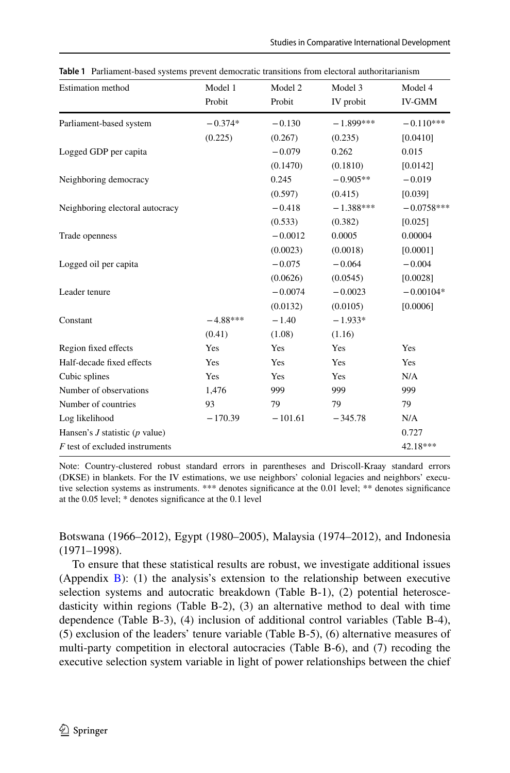| <b>Estimation</b> method            | Model 1<br>Probit | Model 2<br>Probit | Model 3<br>IV probit | Model 4<br><b>IV-GMM</b> |
|-------------------------------------|-------------------|-------------------|----------------------|--------------------------|
|                                     |                   |                   |                      |                          |
| (0.225)                             | (0.267)           | (0.235)           | [0.0410]             |                          |
| Logged GDP per capita               |                   | $-0.079$          | 0.262                | 0.015                    |
|                                     |                   | (0.1470)          | (0.1810)             | [0.0142]                 |
| Neighboring democracy               |                   | 0.245             | $-0.905**$           | $-0.019$                 |
|                                     |                   | (0.597)           | (0.415)              | [0.039]                  |
| Neighboring electoral autocracy     |                   | $-0.418$          | $-1.388***$          | $-0.0758***$             |
|                                     |                   | (0.533)           | (0.382)              | [0.025]                  |
| Trade openness                      |                   | $-0.0012$         | 0.0005               | 0.00004                  |
|                                     |                   | (0.0023)          | (0.0018)             | [0.0001]                 |
| Logged oil per capita               |                   | $-0.075$          | $-0.064$             | $-0.004$                 |
|                                     |                   | (0.0626)          | (0.0545)             | [0.0028]                 |
| Leader tenure                       |                   | $-0.0074$         | $-0.0023$            | $-0.00104*$              |
|                                     |                   | (0.0132)          | (0.0105)             | [0.0006]                 |
| Constant                            | $-4.88***$        | $-1.40$           | $-1.933*$            |                          |
|                                     | (0.41)            | (1.08)            | (1.16)               |                          |
| Region fixed effects                | Yes               | Yes               | Yes                  | Yes                      |
| Half-decade fixed effects           | Yes               | Yes               | Yes                  | Yes                      |
| Cubic splines                       | Yes               | Yes               | Yes                  | N/A                      |
| Number of observations              | 1,476             | 999               | 999                  | 999                      |
| Number of countries                 | 93                | 79                | 79                   | 79                       |
| Log likelihood                      | $-170.39$         | $-101.61$         | $-345.78$            | N/A                      |
| Hansen's $J$ statistic ( $p$ value) |                   |                   |                      | 0.727                    |
| $F$ test of excluded instruments    |                   |                   |                      | 42.18***                 |

<span id="page-15-0"></span>**Table 1** Parliament-based systems prevent democratic transitions from electoral authoritarianism

Note: Country-clustered robust standard errors in parentheses and Driscoll-Kraay standard errors (DKSE) in blankets. For the IV estimations, we use neighbors' colonial legacies and neighbors' executive selection systems as instruments. \*\*\* denotes signifcance at the 0.01 level; \*\* denotes signifcance at the 0.05 level; \* denotes signifcance at the 0.1 level

Botswana (1966–2012), Egypt (1980–2005), Malaysia (1974–2012), and Indonesia (1971–1998).

To ensure that these statistical results are robust, we investigate additional issues (Appendix  $\overline{B}$ ): (1) the analysis's extension to the relationship between executive selection systems and autocratic breakdown (Table B-1), (2) potential heteroscedasticity within regions (Table B-2), (3) an alternative method to deal with time dependence (Table B-3), (4) inclusion of additional control variables (Table B-4), (5) exclusion of the leaders' tenure variable (Table B-5), (6) alternative measures of multi-party competition in electoral autocracies (Table B-6), and (7) recoding the executive selection system variable in light of power relationships between the chief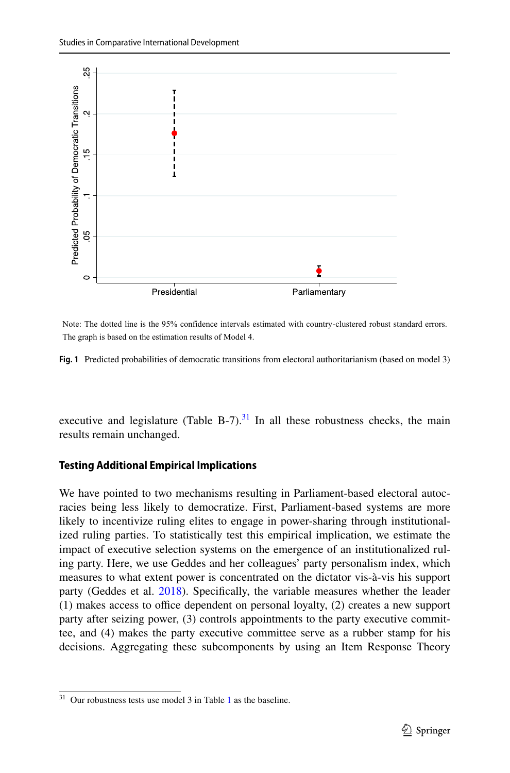

Note: The dotted line is the 95% confidence intervals estimated with country-clustered robust standard errors. The graph is based on the estimation results of Model 4.

<span id="page-16-0"></span>**Fig. 1** Predicted probabilities of democratic transitions from electoral authoritarianism (based on model 3)

executive and legislature (Table B-7).<sup>[31](#page-16-1)</sup> In all these robustness checks, the main results remain unchanged.

#### **Testing Additional Empirical Implications**

We have pointed to two mechanisms resulting in Parliament-based electoral autocracies being less likely to democratize. First, Parliament-based systems are more likely to incentivize ruling elites to engage in power-sharing through institutionalized ruling parties. To statistically test this empirical implication, we estimate the impact of executive selection systems on the emergence of an institutionalized ruling party. Here, we use Geddes and her colleagues' party personalism index, which measures to what extent power is concentrated on the dictator vis-à-vis his support party (Geddes et al. [2018\)](#page-20-12). Specifcally, the variable measures whether the leader  $(1)$  makes access to office dependent on personal loyalty,  $(2)$  creates a new support party after seizing power, (3) controls appointments to the party executive committee, and (4) makes the party executive committee serve as a rubber stamp for his decisions. Aggregating these subcomponents by using an Item Response Theory

<span id="page-16-1"></span> $31$  Our robustness tests use model 3 in Table [1](#page-15-0) as the baseline.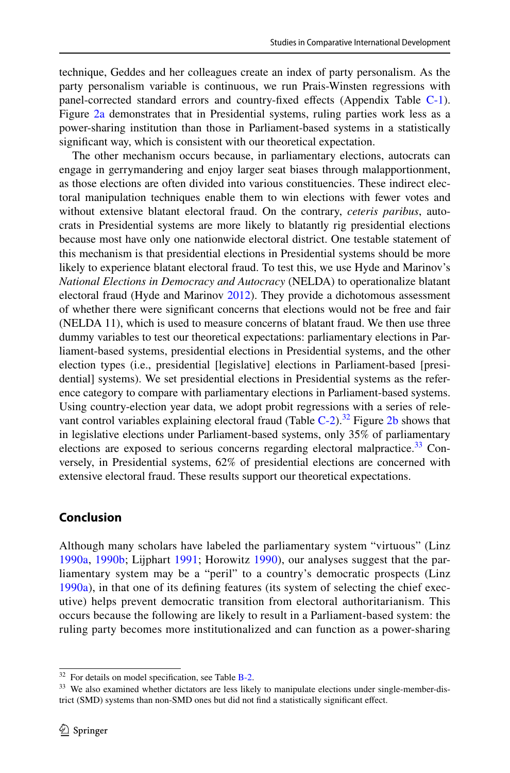technique, Geddes and her colleagues create an index of party personalism. As the party personalism variable is continuous, we run Prais-Winsten regressions with panel-corrected standard errors and country-fixed effects (Appendix Table C-1). Figure [2a](#page-18-0) demonstrates that in Presidential systems, ruling parties work less as a power-sharing institution than those in Parliament-based systems in a statistically signifcant way, which is consistent with our theoretical expectation.

The other mechanism occurs because, in parliamentary elections, autocrats can engage in gerrymandering and enjoy larger seat biases through malapportionment, as those elections are often divided into various constituencies. These indirect electoral manipulation techniques enable them to win elections with fewer votes and without extensive blatant electoral fraud. On the contrary, *ceteris paribus*, autocrats in Presidential systems are more likely to blatantly rig presidential elections because most have only one nationwide electoral district. One testable statement of this mechanism is that presidential elections in Presidential systems should be more likely to experience blatant electoral fraud. To test this, we use Hyde and Marinov's *National Elections in Democracy and Autocracy* (NELDA) to operationalize blatant electoral fraud (Hyde and Marinov [2012\)](#page-20-32). They provide a dichotomous assessment of whether there were signifcant concerns that elections would not be free and fair (NELDA 11), which is used to measure concerns of blatant fraud. We then use three dummy variables to test our theoretical expectations: parliamentary elections in Parliament-based systems, presidential elections in Presidential systems, and the other election types (i.e., presidential [legislative] elections in Parliament-based [presidential] systems). We set presidential elections in Presidential systems as the reference category to compare with parliamentary elections in Parliament-based systems. Using country-election year data, we adopt probit regressions with a series of relevant control variables explaining electoral fraud (Table  $C-2$ ).<sup>32</sup> Figure [2b](#page-18-0) shows that in legislative elections under Parliament-based systems, only 35% of parliamentary elections are exposed to serious concerns regarding electoral malpractice.<sup>[33](#page-17-1)</sup> Conversely, in Presidential systems, 62% of presidential elections are concerned with extensive electoral fraud. These results support our theoretical expectations.

## **Conclusion**

Although many scholars have labeled the parliamentary system "virtuous" (Linz [1990a](#page-21-3), [1990b;](#page-21-4) Lijphart [1991;](#page-21-5) Horowitz [1990](#page-20-1)), our analyses suggest that the parliamentary system may be a "peril" to a country's democratic prospects (Linz [1990a](#page-21-3)), in that one of its defning features (its system of selecting the chief executive) helps prevent democratic transition from electoral authoritarianism. This occurs because the following are likely to result in a Parliament-based system: the ruling party becomes more institutionalized and can function as a power-sharing

<span id="page-17-0"></span> $32$  For details on model specification, see Table B-2.

<span id="page-17-1"></span><sup>&</sup>lt;sup>33</sup> We also examined whether dictators are less likely to manipulate elections under single-member-district (SMD) systems than non-SMD ones but did not fnd a statistically signifcant efect.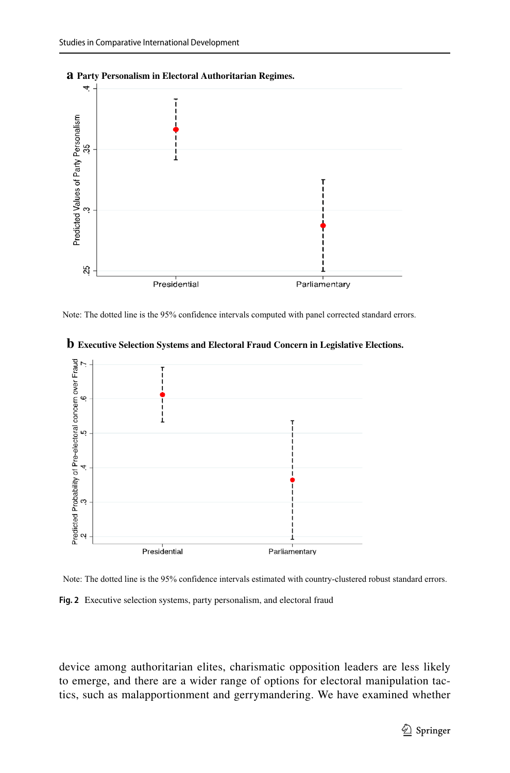

**a Party Personalism in Electoral Authoritarian Regimes.**

Note: The dotted line is the 95% confidence intervals computed with panel corrected standard errors.





Note: The dotted line is the 95% confidence intervals estimated with country-clustered robust standard errors.

<span id="page-18-0"></span>**Fig. 2** Executive selection systems, party personalism, and electoral fraud

device among authoritarian elites, charismatic opposition leaders are less likely to emerge, and there are a wider range of options for electoral manipulation tactics, such as malapportionment and gerrymandering. We have examined whether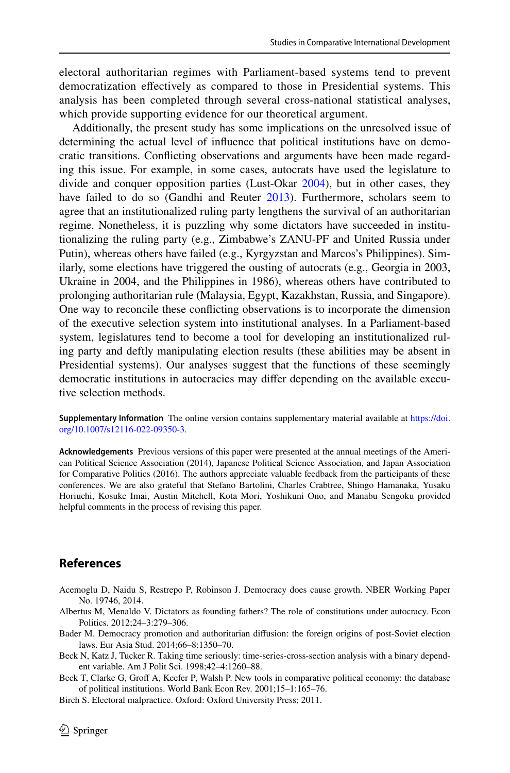electoral authoritarian regimes with Parliament-based systems tend to prevent democratization efectively as compared to those in Presidential systems. This analysis has been completed through several cross-national statistical analyses, which provide supporting evidence for our theoretical argument.

Additionally, the present study has some implications on the unresolved issue of determining the actual level of infuence that political institutions have on democratic transitions. Conficting observations and arguments have been made regarding this issue. For example, in some cases, autocrats have used the legislature to divide and conquer opposition parties (Lust-Okar [2004](#page-21-14)), but in other cases, they have failed to do so (Gandhi and Reuter [2013\)](#page-20-33). Furthermore, scholars seem to agree that an institutionalized ruling party lengthens the survival of an authoritarian regime. Nonetheless, it is puzzling why some dictators have succeeded in institutionalizing the ruling party (e.g., Zimbabwe's ZANU-PF and United Russia under Putin), whereas others have failed (e.g., Kyrgyzstan and Marcos's Philippines). Similarly, some elections have triggered the ousting of autocrats (e.g., Georgia in 2003, Ukraine in 2004, and the Philippines in 1986), whereas others have contributed to prolonging authoritarian rule (Malaysia, Egypt, Kazakhstan, Russia, and Singapore). One way to reconcile these conficting observations is to incorporate the dimension of the executive selection system into institutional analyses. In a Parliament-based system, legislatures tend to become a tool for developing an institutionalized ruling party and deftly manipulating election results (these abilities may be absent in Presidential systems). Our analyses suggest that the functions of these seemingly democratic institutions in autocracies may difer depending on the available executive selection methods.

**Supplementary Information** The online version contains supplementary material available at [https://doi.](https://doi.org/10.1007/s12116-022-09350-3) [org/10.1007/s12116-022-09350-3](https://doi.org/10.1007/s12116-022-09350-3).

**Acknowledgements** Previous versions of this paper were presented at the annual meetings of the American Political Science Association (2014), Japanese Political Science Association, and Japan Association for Comparative Politics (2016). The authors appreciate valuable feedback from the participants of these conferences. We are also grateful that Stefano Bartolini, Charles Crabtree, Shingo Hamanaka, Yusaku Horiuchi, Kosuke Imai, Austin Mitchell, Kota Mori, Yoshikuni Ono, and Manabu Sengoku provided helpful comments in the process of revising this paper.

### **References**

- <span id="page-19-5"></span>Acemoglu D, Naidu S, Restrepo P, Robinson J. Democracy does cause growth. NBER Working Paper No. 19746, 2014.
- <span id="page-19-0"></span>Albertus M, Menaldo V. Dictators as founding fathers? The role of constitutions under autocracy. Econ Politics. 2012;24–3:279–306.
- <span id="page-19-4"></span>Bader M. Democracy promotion and authoritarian difusion: the foreign origins of post-Soviet election laws. Eur Asia Stud. 2014;66–8:1350–70.
- <span id="page-19-3"></span>Beck N, Katz J, Tucker R. Taking time seriously: time-series-cross-section analysis with a binary dependent variable. Am J Polit Sci. 1998;42–4:1260–88.
- <span id="page-19-2"></span>Beck T, Clarke G, Grof A, Keefer P, Walsh P. New tools in comparative political economy: the database of political institutions. World Bank Econ Rev. 2001;15–1:165–76.

<span id="page-19-1"></span>Birch S. Electoral malpractice. Oxford: Oxford University Press; 2011.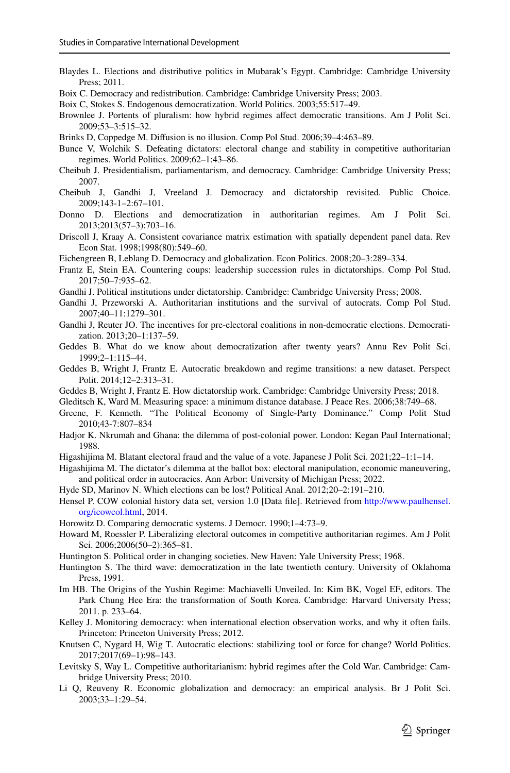- <span id="page-20-16"></span>Blaydes L. Elections and distributive politics in Mubarak's Egypt. Cambridge: Cambridge University Press; 2011.
- <span id="page-20-7"></span>Boix C. Democracy and redistribution. Cambridge: Cambridge University Press; 2003.
- <span id="page-20-25"></span>Boix C, Stokes S. Endogenous democratization. World Politics. 2003;55:517–49.
- <span id="page-20-11"></span>Brownlee J. Portents of pluralism: how hybrid regimes afect democratic transitions. Am J Polit Sci. 2009;53–3:515–32.
- <span id="page-20-2"></span>Brinks D, Coppedge M. Difusion is no illusion. Comp Pol Stud. 2006;39–4:463–89.
- <span id="page-20-9"></span>Bunce V, Wolchik S. Defeating dictators: electoral change and stability in competitive authoritarian regimes. World Politics. 2009;62–1:43–86.
- <span id="page-20-22"></span>Cheibub J. Presidentialism, parliamentarism, and democracy. Cambridge: Cambridge University Press; 2007.
- <span id="page-20-24"></span>Cheibub J, Gandhi J, Vreeland J. Democracy and dictatorship revisited. Public Choice. 2009;143-1–2:67–101.
- <span id="page-20-5"></span>Donno D. Elections and democratization in authoritarian regimes. Am J Polit Sci. 2013;2013(57–3):703–16.
- <span id="page-20-31"></span>Driscoll J, Kraay A. Consistent covariance matrix estimation with spatially dependent panel data. Rev Econ Stat. 1998;1998(80):549–60.
- <span id="page-20-19"></span>Eichengreen B, Leblang D. Democracy and globalization. Econ Politics. 2008;20–3:289–334.
- <span id="page-20-17"></span>Frantz E, Stein EA. Countering coups: leadership succession rules in dictatorships. Comp Pol Stud. 2017;50–7:935–62.
- <span id="page-20-13"></span>Gandhi J. Political institutions under dictatorship. Cambridge: Cambridge University Press; 2008.
- <span id="page-20-14"></span>Gandhi J, Przeworski A. Authoritarian institutions and the survival of autocrats. Comp Pol Stud. 2007;40–11:1279–301.
- <span id="page-20-33"></span>Gandhi J, Reuter JO. The incentives for pre-electoral coalitions in non-democratic elections. Democratization. 2013;20–1:137–59.
- <span id="page-20-10"></span>Geddes B. What do we know about democratization after twenty years? Annu Rev Polit Sci. 1999;2–1:115–44.
- <span id="page-20-23"></span>Geddes B, Wright J, Frantz E. Autocratic breakdown and regime transitions: a new dataset. Perspect Polit. 2014;12–2:313–31.
- <span id="page-20-12"></span>Geddes B, Wright J, Frantz E. How dictatorship work. Cambridge: Cambridge University Press; 2018.
- <span id="page-20-3"></span>Gleditsch K, Ward M. Measuring space: a minimum distance database. J Peace Res. 2006;38:749–68.
- <span id="page-20-20"></span>Greene, F. Kenneth. "The Political Economy of Single-Party Dominance." Comp Polit Stud 2010;43-7:807–834
- <span id="page-20-28"></span>Hadjor K. Nkrumah and Ghana: the dilemma of post-colonial power. London: Kegan Paul International; 1988.
- <span id="page-20-21"></span>Higashijima M. Blatant electoral fraud and the value of a vote. Japanese J Polit Sci. 2021;22–1:1–14.
- <span id="page-20-15"></span>Higashijima M. The dictator's dilemma at the ballot box: electoral manipulation, economic maneuvering, and political order in autocracies. Ann Arbor: University of Michigan Press; 2022.
- <span id="page-20-32"></span>Hyde SD, Marinov N. Which elections can be lost? Political Anal. 2012;20–2:191–210.
- <span id="page-20-30"></span>Hensel P. COW colonial history data set, version 1.0 [Data fle]. Retrieved from [http://www.paulhensel.](http://www.paulhensel.org/icowcol.html) [org/icowcol.html](http://www.paulhensel.org/icowcol.html), 2014.
- <span id="page-20-1"></span>Horowitz D. Comparing democratic systems. J Democr. 1990;1–4:73–9.
- <span id="page-20-8"></span>Howard M, Roessler P. Liberalizing electoral outcomes in competitive authoritarian regimes. Am J Polit Sci. 2006;2006(50–2):365–81.
- <span id="page-20-18"></span>Huntington S. Political order in changing societies. New Haven: Yale University Press; 1968.
- <span id="page-20-4"></span>Huntington S. The third wave: democratization in the late twentieth century. University of Oklahoma Press, 1991.
- <span id="page-20-27"></span>Im HB. The Origins of the Yushin Regime: Machiavelli Unveiled. In: Kim BK, Vogel EF, editors. The Park Chung Hee Era: the transformation of South Korea. Cambridge: Harvard University Press; 2011. p. 233–64.
- <span id="page-20-6"></span>Kelley J. Monitoring democracy: when international election observation works, and why it often fails. Princeton: Princeton University Press; 2012.
- <span id="page-20-29"></span>Knutsen C, Nygard H, Wig T. Autocratic elections: stabilizing tool or force for change? World Politics. 2017;2017(69–1):98–143.
- <span id="page-20-0"></span>Levitsky S, Way L. Competitive authoritarianism: hybrid regimes after the Cold War. Cambridge: Cambridge University Press; 2010.
- <span id="page-20-26"></span>Li Q, Reuveny R. Economic globalization and democracy: an empirical analysis. Br J Polit Sci. 2003;33–1:29–54.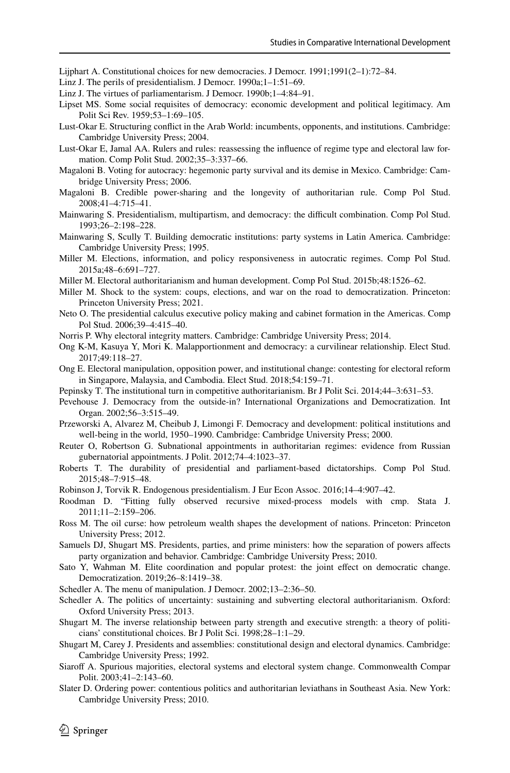<span id="page-21-5"></span>Lijphart A. Constitutional choices for new democracies. J Democr. 1991;1991(2–1):72–84.

- <span id="page-21-3"></span>Linz J. The perils of presidentialism. J Democr. 1990a;1–1:51–69.
- <span id="page-21-4"></span>Linz J. The virtues of parliamentarism. J Democr. 1990b;1–4:84–91.
- <span id="page-21-7"></span>Lipset MS. Some social requisites of democracy: economic development and political legitimacy. Am Polit Sci Rev. 1959;53–1:69–105.
- <span id="page-21-14"></span>Lust-Okar E. Structuring confict in the Arab World: incumbents, opponents, and institutions. Cambridge: Cambridge University Press; 2004.
- <span id="page-21-24"></span>Lust-Okar E, Jamal AA. Rulers and rules: reassessing the infuence of regime type and electoral law formation. Comp Polit Stud. 2002;35–3:337–66.
- <span id="page-21-11"></span>Magaloni B. Voting for autocracy: hegemonic party survival and its demise in Mexico. Cambridge: Cambridge University Press; 2006.
- <span id="page-21-10"></span>Magaloni B. Credible power-sharing and the longevity of authoritarian rule. Comp Pol Stud. 2008;41–4:715–41.
- <span id="page-21-27"></span>Mainwaring S. Presidentialism, multipartism, and democracy: the difficult combination. Comp Pol Stud. 1993;26–2:198–228.
- <span id="page-21-15"></span>Mainwaring S, Scully T. Building democratic institutions: party systems in Latin America. Cambridge: Cambridge University Press; 1995.
- <span id="page-21-12"></span>Miller M. Elections, information, and policy responsiveness in autocratic regimes. Comp Pol Stud. 2015a;48–6:691–727.
- <span id="page-21-31"></span>Miller M. Electoral authoritarianism and human development. Comp Pol Stud. 2015b;48:1526–62.
- <span id="page-21-18"></span>Miller M. Shock to the system: coups, elections, and war on the road to democratization. Princeton: Princeton University Press; 2021.
- <span id="page-21-20"></span>Neto O. The presidential calculus executive policy making and cabinet formation in the Americas. Comp Pol Stud. 2006;39–4:415–40.
- <span id="page-21-0"></span>Norris P. Why electoral integrity matters. Cambridge: Cambridge University Press; 2014.
- <span id="page-21-22"></span>Ong K-M, Kasuya Y, Mori K. Malapportionment and democracy: a curvilinear relationship. Elect Stud. 2017;49:118–27.
- <span id="page-21-25"></span>Ong E. Electoral manipulation, opposition power, and institutional change: contesting for electoral reform in Singapore, Malaysia, and Cambodia. Elect Stud. 2018;54:159–71.
- <span id="page-21-28"></span>Pepinsky T. The institutional turn in competitive authoritarianism. Br J Polit Sci. 2014;44–3:631–53.
- <span id="page-21-6"></span>Pevehouse J. Democracy from the outside-in? International Organizations and Democratization. Int Organ. 2002;56–3:515–49.
- <span id="page-21-8"></span>Przeworski A, Alvarez M, Cheibub J, Limongi F. Democracy and development: political institutions and well-being in the world, 1950–1990. Cambridge: Cambridge University Press; 2000.
- <span id="page-21-13"></span>Reuter O, Robertson G. Subnational appointments in authoritarian regimes: evidence from Russian gubernatorial appointments. J Polit. 2012;74–4:1023–37.
- <span id="page-21-2"></span>Roberts T. The durability of presidential and parliament-based dictatorships. Comp Pol Stud. 2015;48–7:915–48.
- <span id="page-21-30"></span>Robinson J, Torvik R. Endogenous presidentialism. J Eur Econ Assoc. 2016;14–4:907–42.
- <span id="page-21-32"></span>Roodman D. "Fitting fully observed recursive mixed-process models with cmp. Stata J. 2011;11–2:159–206.
- <span id="page-21-9"></span>Ross M. The oil curse: how petroleum wealth shapes the development of nations. Princeton: Princeton University Press; 2012.
- <span id="page-21-17"></span>Samuels DJ, Shugart MS. Presidents, parties, and prime ministers: how the separation of powers afects party organization and behavior. Cambridge: Cambridge University Press; 2010.
- <span id="page-21-19"></span>Sato Y, Wahman M. Elite coordination and popular protest: the joint efect on democratic change. Democratization. 2019;26–8:1419–38.
- <span id="page-21-1"></span>Schedler A. The menu of manipulation. J Democr. 2002;13–2:36–50.
- <span id="page-21-21"></span>Schedler A. The politics of uncertainty: sustaining and subverting electoral authoritarianism. Oxford: Oxford University Press; 2013.
- <span id="page-21-16"></span>Shugart M. The inverse relationship between party strength and executive strength: a theory of politicians' constitutional choices. Br J Polit Sci. 1998;28–1:1–29.
- <span id="page-21-23"></span>Shugart M, Carey J. Presidents and assemblies: constitutional design and electoral dynamics. Cambridge: Cambridge University Press; 1992.
- <span id="page-21-26"></span>Siarof A. Spurious majorities, electoral systems and electoral system change. Commonwealth Compar Polit. 2003;41–2:143–60.
- <span id="page-21-29"></span>Slater D. Ordering power: contentious politics and authoritarian leviathans in Southeast Asia. New York: Cambridge University Press; 2010.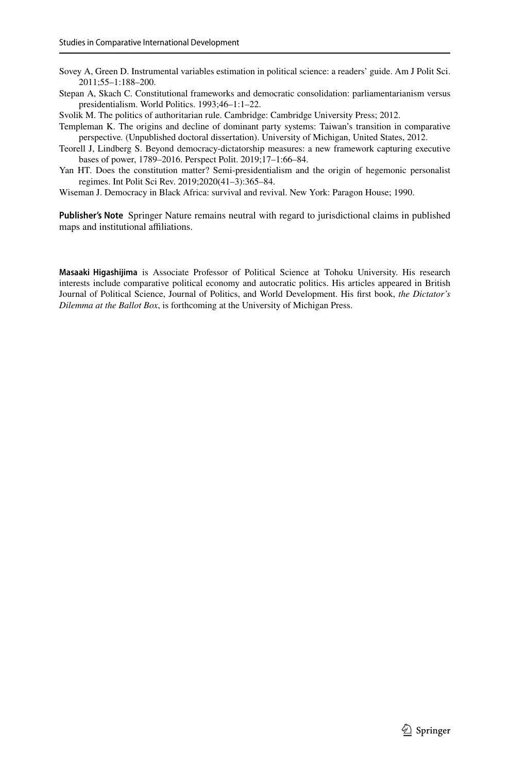- <span id="page-22-6"></span>Sovey A, Green D. Instrumental variables estimation in political science: a readers' guide. Am J Polit Sci. 2011;55–1:188–200.
- <span id="page-22-3"></span>Stepan A, Skach C. Constitutional frameworks and democratic consolidation: parliamentarianism versus presidentialism. World Politics. 1993;46–1:1–22.
- <span id="page-22-0"></span>Svolik M. The politics of authoritarian rule. Cambridge: Cambridge University Press; 2012.
- <span id="page-22-1"></span>Templeman K. The origins and decline of dominant party systems: Taiwan's transition in comparative perspective*.* (Unpublished doctoral dissertation). University of Michigan, United States, 2012.
- <span id="page-22-4"></span>Teorell J, Lindberg S. Beyond democracy-dictatorship measures: a new framework capturing executive bases of power, 1789–2016. Perspect Polit. 2019;17–1:66–84.
- <span id="page-22-2"></span>Yan HT. Does the constitution matter? Semi-presidentialism and the origin of hegemonic personalist regimes. Int Polit Sci Rev. 2019;2020(41–3):365–84.

<span id="page-22-5"></span>Wiseman J. Democracy in Black Africa: survival and revival. New York: Paragon House; 1990.

**Publisher's Note** Springer Nature remains neutral with regard to jurisdictional claims in published maps and institutional affiliations.

**Masaaki Higashijima** is Associate Professor of Political Science at Tohoku University. His research interests include comparative political economy and autocratic politics. His articles appeared in British Journal of Political Science, Journal of Politics, and World Development. His frst book, *the Dictator's Dilemma at the Ballot Box*, is forthcoming at the University of Michigan Press.